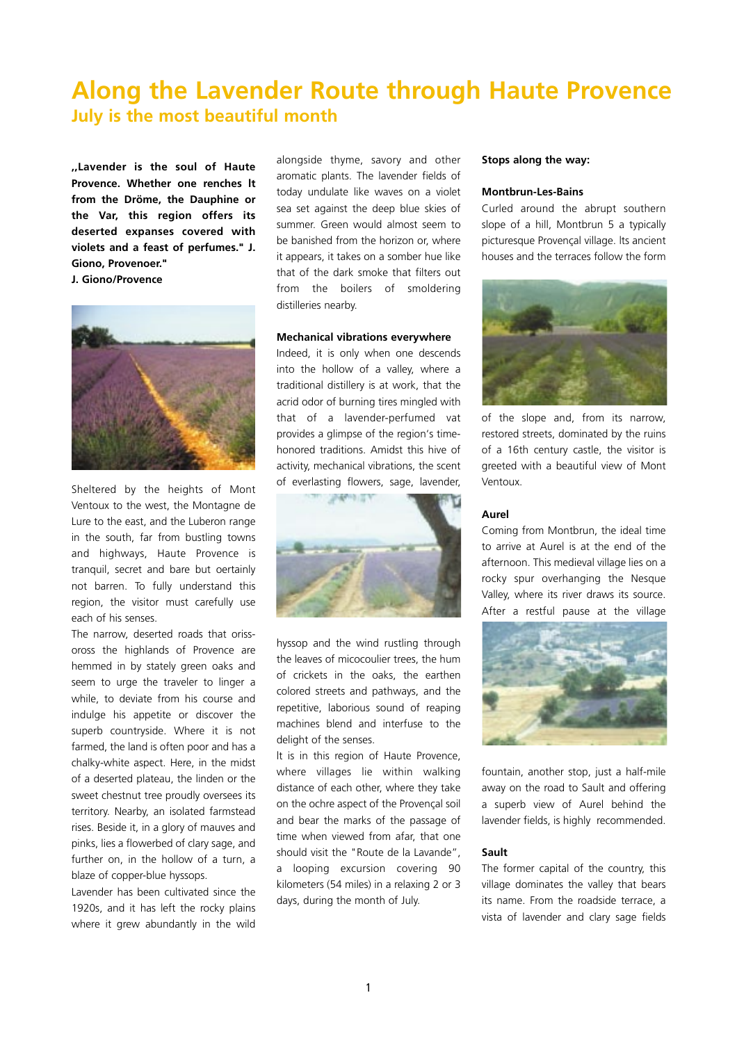# **Along the Lavender Route through Haute Provence July is the most beautiful month**

**,,Lavender is the soul of Haute Provence. Whether one renches lt from the Dröme, the Dauphine or the Var, this region offers its deserted expanses covered with violets and a feast of perfumes." J. Giono, Provenoer." J. Giono/Provence** 



Sheltered by the heights of Mont Ventoux to the west, the Montagne de Lure to the east, and the Luberon range in the south, far from bustling towns and highways, Haute Provence is tranquil, secret and bare but oertainly not barren. To fully understand this region, the visitor must carefully use each of his senses.

The narrow, deserted roads that orissoross the highlands of Provence are hemmed in by stately green oaks and seem to urge the traveler to linger a while, to deviate from his course and indulge his appetite or discover the superb countryside. Where it is not farmed, the land is often poor and has a chalky-white aspect. Here, in the midst of a deserted plateau, the linden or the sweet chestnut tree proudly oversees its territory. Nearby, an isolated farmstead rises. Beside it, in a glory of mauves and pinks, lies a flowerbed of clary sage, and further on, in the hollow of a turn, a blaze of copper-blue hyssops.

Lavender has been cultivated since the 1920s, and it has left the rocky plains where it grew abundantly in the wild

alongside thyme, savory and other aromatic plants. The lavender fields of today undulate like waves on a violet sea set against the deep blue skies of summer. Green would almost seem to be banished from the horizon or, where it appears, it takes on a somber hue like that of the dark smoke that filters out from the boilers of smoldering distilleries nearby.

### **Mechanical vibrations everywhere**

Indeed, it is only when one descends into the hollow of a valley, where a traditional distillery is at work, that the acrid odor of burning tires mingled with that of a lavender-perfumed vat provides a glimpse of the region's timehonored traditions. Amidst this hive of activity, mechanical vibrations, the scent of everlasting flowers, sage, lavender,



hyssop and the wind rustling through the leaves of micocoulier trees, the hum of crickets in the oaks, the earthen colored streets and pathways, and the repetitive, laborious sound of reaping machines blend and interfuse to the delight of the senses.

lt is in this region of Haute Provence, where villages lie within walking distance of each other, where they take on the ochre aspect of the Provençal soil and bear the marks of the passage of time when viewed from afar, that one should visit the "Route de la Lavande", a looping excursion covering 90 kilometers (54 miles) in a relaxing 2 or 3 days, during the month of July.

## **Stops along the way:**

### **Montbrun-Les-Bains**

Curled around the abrupt southern slope of a hill, Montbrun 5 a typically picturesque Provençal village. lts ancient houses and the terraces follow the form



of the slope and, from its narrow, restored streets, dominated by the ruins of a 16th century castle, the visitor is greeted with a beautiful view of Mont Ventoux.

#### **Aurel**

Coming from Montbrun, the ideal time to arrive at Aurel is at the end of the afternoon. This medieval village lies on a rocky spur overhanging the Nesque Valley, where its river draws its source. After a restful pause at the village



fountain, another stop, just a half-mile away on the road to Sault and offering a superb view of Aurel behind the lavender fields, is highly recommended.

# **Sault**

The former capital of the country, this village dominates the valley that bears its name. From the roadside terrace, a vista of lavender and clary sage fields